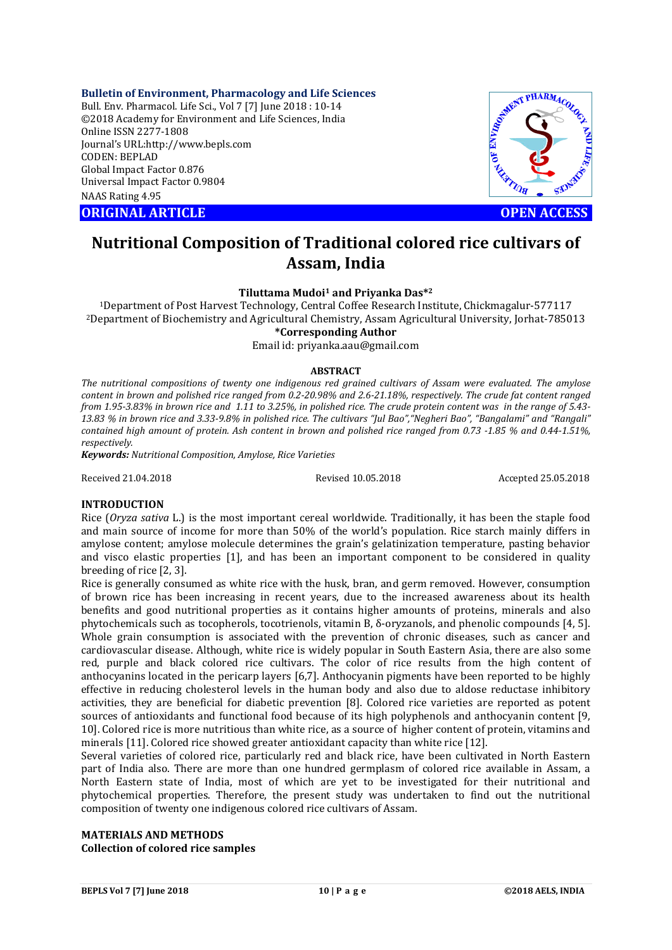**Bulletin of Environment, Pharmacology and Life Sciences**

Bull. Env. Pharmacol. Life Sci., Vol 7 [7] June 2018 : 10-14 ©2018 Academy for Environment and Life Sciences, India Online ISSN 2277-1808 Journal's URL:http://www.bepls.com CODEN: BEPLAD Global Impact Factor 0.876 Universal Impact Factor 0.9804 NAAS Rating 4.95

**ORIGINAL ARTICLE OPEN ACCESS**



# **Nutritional Composition of Traditional colored rice cultivars of Assam, India**

## **Tiluttama Mudoi1 and Priyanka Das\*2**

1Department of Post Harvest Technology, Central Coffee Research Institute, Chickmagalur-577117 2Department of Biochemistry and Agricultural Chemistry, Assam Agricultural University, Jorhat-785013 **\*Corresponding Author**

Email id: priyanka.aau@gmail.com

#### **ABSTRACT**

*The nutritional compositions of twenty one indigenous red grained cultivars of Assam were evaluated. The amylose content in brown and polished rice ranged from 0.2-20.98% and 2.6-21.18%, respectively. The crude fat content ranged from 1.95-3.83% in brown rice and 1.11 to 3.25%, in polished rice. The crude protein content was in the range of 5.43- 13.83 % in brown rice and 3.33-9.8% in polished rice. The cultivars "Jul Bao","Negheri Bao", "Bangalami" and "Rangali" contained high amount of protein. Ash content in brown and polished rice ranged from 0.73 -1.85 % and 0.44-1.51%, respectively.*

*Keywords: Nutritional Composition, Amylose, Rice Varieties*

Received 21.04.2018 Revised 10.05.2018 Accepted 25.05.2018

## **INTRODUCTION**

Rice (*Oryza sativa* L.) is the most important cereal worldwide. Traditionally, it has been the staple food and main source of income for more than 50% of the world's population. Rice starch mainly differs in amylose content; amylose molecule determines the grain's gelatinization temperature, pasting behavior and visco elastic properties [1], and has been an important component to be considered in quality breeding of rice [2, 3].

Rice is generally consumed as white rice with the husk, bran, and germ removed. However, consumption of brown rice has been increasing in recent years, due to the increased awareness about its health benefits and good nutritional properties as it contains higher amounts of proteins, minerals and also phytochemicals such as tocopherols, tocotrienols, vitamin B, δ-oryzanols, and phenolic compounds [4, 5]. Whole grain consumption is associated with the prevention of chronic diseases, such as cancer and cardiovascular disease. Although, white rice is widely popular in South Eastern Asia, there are also some red, purple and black colored rice cultivars. The color of rice results from the high content of anthocyanins located in the pericarp layers [6,7]. Anthocyanin pigments have been reported to be highly effective in reducing cholesterol levels in the human body and also due to aldose reductase inhibitory activities, they are beneficial for diabetic prevention [8]. Colored rice varieties are reported as potent sources of antioxidants and functional food because of its high polyphenols and anthocyanin content [9, 10]. Colored rice is more nutritious than white rice, as a source of higher content of protein, vitamins and minerals [11]. Colored rice showed greater antioxidant capacity than white rice [12].

Several varieties of colored rice, particularly red and black rice, have been cultivated in North Eastern part of India also. There are more than one hundred germplasm of colored rice available in Assam, a North Eastern state of India, most of which are yet to be investigated for their nutritional and phytochemical properties. Therefore, the present study was undertaken to find out the nutritional composition of twenty one indigenous colored rice cultivars of Assam.

## **MATERIALS AND METHODS Collection of colored rice samples**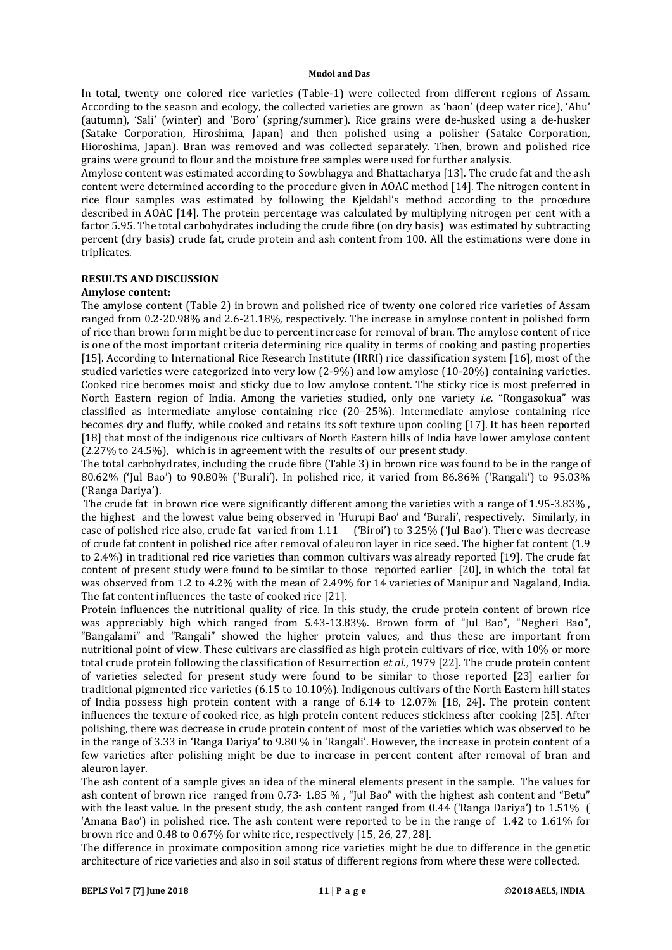In total, twenty one colored rice varieties (Table-1) were collected from different regions of Assam. According to the season and ecology, the collected varieties are grown as 'baon' (deep water rice), 'Ahu' (autumn), 'Sali' (winter) and 'Boro' (spring/summer). Rice grains were de-husked using a de-husker (Satake Corporation, Hiroshima, Japan) and then polished using a polisher (Satake Corporation, Hioroshima, Japan). Bran was removed and was collected separately. Then, brown and polished rice grains were ground to flour and the moisture free samples were used for further analysis.

Amylose content was estimated according to Sowbhagya and Bhattacharya [13]. The crude fat and the ash content were determined according to the procedure given in AOAC method [14]. The nitrogen content in rice flour samples was estimated by following the Kjeldahl's method according to the procedure described in AOAC [14]. The protein percentage was calculated by multiplying nitrogen per cent with a factor 5.95. The total carbohydrates including the crude fibre (on dry basis) was estimated by subtracting percent (dry basis) crude fat, crude protein and ash content from 100. All the estimations were done in triplicates.

## **RESULTS AND DISCUSSION**

#### **Amylose content:**

The amylose content (Table 2) in brown and polished rice of twenty one colored rice varieties of Assam ranged from 0.2-20.98% and 2.6-21.18%, respectively. The increase in amylose content in polished form of rice than brown form might be due to percent increase for removal of bran. The amylose content of rice is one of the most important criteria determining rice quality in terms of cooking and pasting properties [15]. According to International Rice Research Institute (IRRI) rice classification system [16], most of the studied varieties were categorized into very low (2-9%) and low amylose (10-20%) containing varieties. Cooked rice becomes moist and sticky due to low amylose content. The sticky rice is most preferred in North Eastern region of India. Among the varieties studied, only one variety *i.e.* "Rongasokua" was classified as intermediate amylose containing rice (20–25%). Intermediate amylose containing rice becomes dry and fluffy, while cooked and retains its soft texture upon cooling [17]. It has been reported [18] that most of the indigenous rice cultivars of North Eastern hills of India have lower amylose content (2.27% to 24.5%), which is in agreement with the results of our present study.

The total carbohydrates, including the crude fibre (Table 3) in brown rice was found to be in the range of 80.62% ('Jul Bao') to 90.80% ('Burali'). In polished rice, it varied from 86.86% ('Rangali') to 95.03% ('Ranga Dariya').

The crude fat in brown rice were significantly different among the varieties with a range of 1.95-3.83%, the highest and the lowest value being observed in 'Hurupi Bao' and 'Burali', respectively. Similarly, in case of polished rice also, crude fat varied from 1.11 ('Biroi') to 3.25% ('Jul Bao'). There was decrease of crude fat content in polished rice after removal of aleuron layer in rice seed. The higher fat content (1.9 to 2.4%) in traditional red rice varieties than common cultivars was already reported [19]. The crude fat content of present study were found to be similar to those reported earlier [20], in which the total fat was observed from 1.2 to 4.2% with the mean of 2.49% for 14 varieties of Manipur and Nagaland, India. The fat content influences the taste of cooked rice [21].

Protein influences the nutritional quality of rice. In this study, the crude protein content of brown rice was appreciably high which ranged from 5.43-13.83%. Brown form of "Jul Bao", "Negheri Bao", "Bangalami" and "Rangali" showed the higher protein values, and thus these are important from nutritional point of view. These cultivars are classified as high protein cultivars of rice, with 10% or more total crude protein following the classification of Resurrection *et al.*, 1979 [22]. The crude protein content of varieties selected for present study were found to be similar to those reported [23] earlier for traditional pigmented rice varieties (6.15 to 10.10%). Indigenous cultivars of the North Eastern hill states of India possess high protein content with a range of 6.14 to 12.07% [18, 24]. The protein content influences the texture of cooked rice, as high protein content reduces stickiness after cooking [25]. After polishing, there was decrease in crude protein content of most of the varieties which was observed to be in the range of 3.33 in 'Ranga Dariya' to 9.80 % in 'Rangali'. However, the increase in protein content of a few varieties after polishing might be due to increase in percent content after removal of bran and aleuron layer.

The ash content of a sample gives an idea of the mineral elements present in the sample. The values for ash content of brown rice ranged from 0.73- 1.85 % , "Jul Bao" with the highest ash content and "Betu" with the least value. In the present study, the ash content ranged from 0.44 ('Ranga Dariya') to 1.51% ( 'Amana Bao') in polished rice. The ash content were reported to be in the range of 1.42 to 1.61% for brown rice and 0.48 to 0.67% for white rice, respectively [15, 26, 27, 28].

The difference in proximate composition among rice varieties might be due to difference in the genetic architecture of rice varieties and also in soil status of different regions from where these were collected.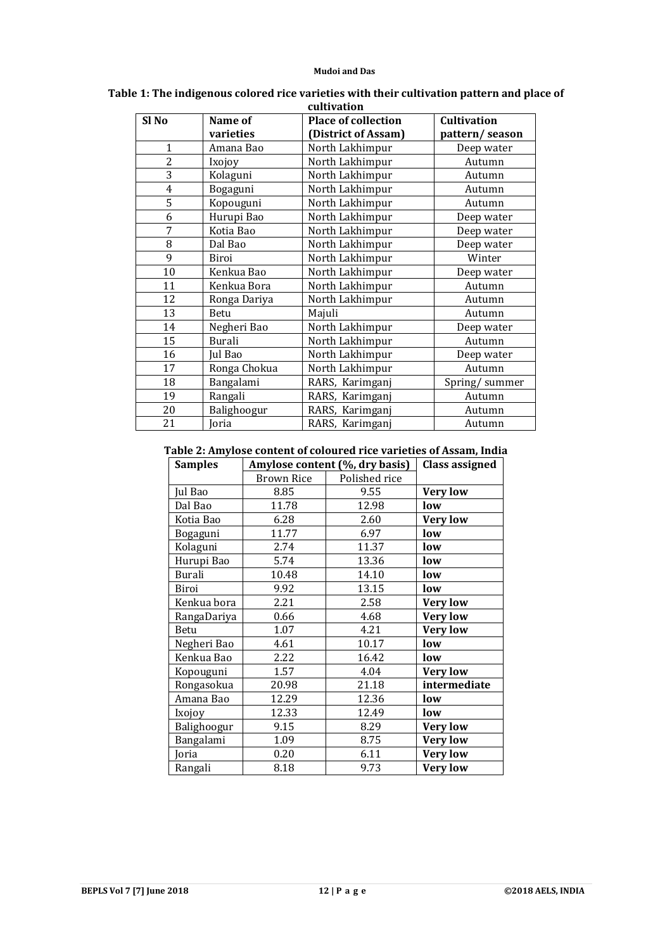## **Mudoi and Das**

| сингиаснин      |               |                            |                    |  |  |  |  |
|-----------------|---------------|----------------------------|--------------------|--|--|--|--|
| Sl No           | Name of       | <b>Place of collection</b> | <b>Cultivation</b> |  |  |  |  |
|                 | varieties     | (District of Assam)        | pattern/season     |  |  |  |  |
| $\mathbf{1}$    | Amana Bao     | North Lakhimpur            | Deep water         |  |  |  |  |
| $\overline{2}$  | Ixojoy        | North Lakhimpur            | Autumn             |  |  |  |  |
| 3               | Kolaguni      | North Lakhimpur            | Autumn             |  |  |  |  |
| $\overline{4}$  | Bogaguni      | North Lakhimpur            | Autumn             |  |  |  |  |
| 5               | Kopouguni     | North Lakhimpur            | Autumn             |  |  |  |  |
| 6<br>Hurupi Bao |               | North Lakhimpur            | Deep water         |  |  |  |  |
| 7<br>Kotia Bao  |               | North Lakhimpur            | Deep water         |  |  |  |  |
| 8               | Dal Bao       | North Lakhimpur            | Deep water         |  |  |  |  |
| 9               | Biroi         | North Lakhimpur            | Winter             |  |  |  |  |
| 10              | Kenkua Bao    | North Lakhimpur            | Deep water         |  |  |  |  |
| 11              | Kenkua Bora   | North Lakhimpur            | Autumn             |  |  |  |  |
| 12              | Ronga Dariya  | North Lakhimpur            | Autumn             |  |  |  |  |
| 13              | Betu          | Majuli                     | Autumn             |  |  |  |  |
| 14              | Negheri Bao   | North Lakhimpur            | Deep water         |  |  |  |  |
| 15              | <b>Burali</b> | North Lakhimpur            | Autumn             |  |  |  |  |
| 16              | Jul Bao       | North Lakhimpur            | Deep water         |  |  |  |  |
| 17              | Ronga Chokua  | North Lakhimpur            | Autumn             |  |  |  |  |
| 18              | Bangalami     | RARS, Karimganj            | Spring/summer      |  |  |  |  |
| 19              | Rangali       | RARS, Karimganj            | Autumn             |  |  |  |  |
| 20              | Balighoogur   | RARS, Karimganj            | Autumn             |  |  |  |  |
| 21              | oria          | RARS, Karimganj            | Autumn             |  |  |  |  |

# **Table 1: The indigenous colored rice varieties with their cultivation pattern and place of cultivation**

# **Table 2: Amylose content of coloured rice varieties of Assam, India**

| <b>Samples</b> | Amylose content (%, dry basis) | <b>Class assigned</b> |                 |
|----------------|--------------------------------|-----------------------|-----------------|
|                | <b>Brown Rice</b>              | Polished rice         |                 |
| Jul Bao        | 8.85                           | 9.55                  | <b>Very low</b> |
| Dal Bao        | 11.78                          | 12.98                 | low             |
| Kotia Bao      | 6.28                           | 2.60                  | <b>Very low</b> |
| Bogaguni       | 11.77                          | 6.97                  | low             |
| Kolaguni       | 2.74                           | 11.37                 | low             |
| Hurupi Bao     | 5.74                           | 13.36                 | low             |
| Burali         | 10.48                          | 14.10                 | low             |
| Biroi          | 9.92                           | 13.15                 | low             |
| Kenkua bora    | 2.21                           | 2.58                  | <b>Very low</b> |
| RangaDariya    | 0.66                           | 4.68                  | <b>Very low</b> |
| Betu           | 1.07                           | 4.21                  | <b>Very low</b> |
| Negheri Bao    | 4.61                           | 10.17                 | low             |
| Kenkua Bao     | 2.22                           | 16.42                 | low             |
| Kopouguni      | 1.57                           | 4.04                  | <b>Very low</b> |
| Rongasokua     | 20.98                          | 21.18                 | intermediate    |
| Amana Bao      | 12.29                          | 12.36                 | low             |
| Ixojoy         | 12.33                          | 12.49                 | low             |
| Balighoogur    | 9.15                           | 8.29                  | <b>Very low</b> |
| Bangalami      | 1.09                           | 8.75                  | <b>Very low</b> |
| Joria          | 0.20                           | 6.11                  | <b>Very low</b> |
| Rangali        | 8.18                           | 9.73                  | <b>Very low</b> |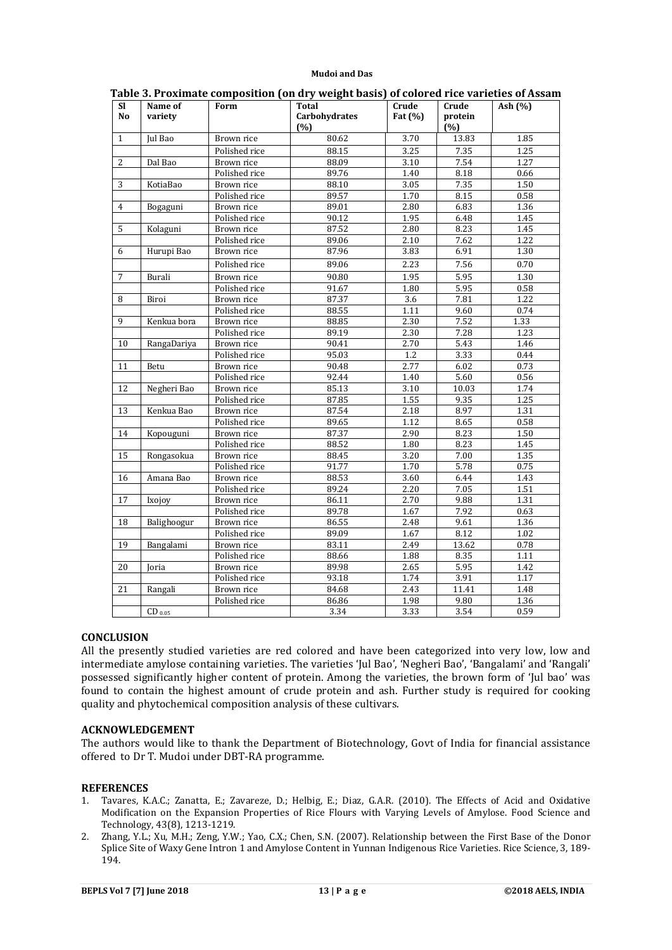| Sl<br>N <sub>o</sub> | Name of<br>variety              | Form          | Total<br>Carbohydrates<br>(%) | Crude<br>Fat (%) | Crude<br>protein<br>(%) | Ash $(\% )$ |
|----------------------|---------------------------------|---------------|-------------------------------|------------------|-------------------------|-------------|
| $\mathbf{1}$         | Jul Bao                         | Brown rice    | 80.62                         | 3.70             | 13.83                   | 1.85        |
|                      |                                 | Polished rice | 88.15                         | 3.25             | 7.35                    | 1.25        |
| 2                    | Dal Bao                         | Brown rice    | 88.09                         | 3.10             | 7.54                    | 1.27        |
|                      |                                 | Polished rice | 89.76                         | 1.40             | 8.18                    | 0.66        |
| 3                    | KotiaBao                        | Brown rice    | 88.10                         | 3.05             | 7.35                    | 1.50        |
|                      |                                 | Polished rice | 89.57                         | 1.70             | 8.15                    | 0.58        |
| 4                    | Bogaguni                        | Brown rice    | 89.01                         | 2.80             | 6.83                    | 1.36        |
|                      |                                 | Polished rice | 90.12                         | 1.95             | 6.48                    | 1.45        |
| 5                    | Kolaguni                        | Brown rice    | 87.52                         | 2.80             | 8.23                    | 1.45        |
|                      |                                 | Polished rice | 89.06                         | 2.10             | 7.62                    | 1.22        |
| 6                    | Hurupi Bao                      | Brown rice    | 87.96                         | 3.83             | 6.91                    | 1.30        |
|                      |                                 | Polished rice | 89.06                         | 2.23             | 7.56                    | 0.70        |
| $\overline{7}$       | Burali                          | Brown rice    | 90.80                         | 1.95             | 5.95                    | 1.30        |
|                      |                                 | Polished rice | 91.67                         | 1.80             | 5.95                    | 0.58        |
| 8                    | Biroi                           | Brown rice    | 87.37                         | 3.6              | 7.81                    | 1.22        |
|                      |                                 | Polished rice | 88.55                         | 1.11             | 9.60                    | 0.74        |
| 9                    | Kenkua bora                     | Brown rice    | 88.85                         | 2.30             | 7.52                    | 1.33        |
|                      |                                 | Polished rice | 89.19                         | 2.30             | 7.28                    | 1.23        |
| 10                   | RangaDariya                     | Brown rice    | 90.41                         | 2.70             | 5.43                    | 1.46        |
|                      |                                 | Polished rice | 95.03                         | 1.2              | 3.33                    | 0.44        |
| $\overline{11}$      | Betu                            | Brown rice    | 90.48                         | 2.77             | 6.02                    | 0.73        |
|                      |                                 | Polished rice | 92.44                         | 1.40             | 5.60                    | 0.56        |
| 12                   | Negheri Bao                     | Brown rice    | 85.13                         | 3.10             | 10.03                   | 1.74        |
|                      |                                 | Polished rice | 87.85                         | 1.55             | 9.35                    | 1.25        |
| 13                   | Kenkua Bao                      | Brown rice    | 87.54                         | 2.18             | 8.97                    | 1.31        |
|                      |                                 | Polished rice | 89.65                         | 1.12             | 8.65                    | 0.58        |
| 14                   | Kopouguni                       | Brown rice    | 87.37                         | 2.90             | 8.23                    | 1.50        |
|                      |                                 | Polished rice | 88.52                         | 1.80             | 8.23                    | 1.45        |
| 15                   | Rongasokua                      | Brown rice    | 88.45                         | 3.20             | 7.00                    | 1.35        |
|                      |                                 | Polished rice | 91.77                         | 1.70             | 5.78                    | 0.75        |
| 16                   | Amana Bao                       | Brown rice    | 88.53                         | 3.60             | 6.44                    | 1.43        |
|                      |                                 | Polished rice | 89.24                         | 2.20             | 7.05                    | 1.51        |
| 17                   | Ixojoy                          | Brown rice    | 86.11                         | 2.70             | 9.88                    | 1.31        |
|                      |                                 | Polished rice | 89.78                         | 1.67             | 7.92                    | 0.63        |
| 18                   | Balighoogur                     | Brown rice    | 86.55                         | 2.48             | 9.61                    | 1.36        |
|                      |                                 | Polished rice | 89.09                         | 1.67             | 8.12                    | 1.02        |
| 19                   | Bangalami                       | Brown rice    | 83.11                         | 2.49             | 13.62                   | 0.78        |
|                      |                                 | Polished rice | 88.66                         | 1.88             | 8.35                    | 1.11        |
| 20                   | Joria                           | Brown rice    | 89.98                         | 2.65             | 5.95                    | 1.42        |
|                      |                                 | Polished rice | 93.18                         | 1.74             | 3.91                    | 1.17        |
| 21                   | Rangali                         | Brown rice    | 84.68                         | 2.43             | 11.41                   | 1.48        |
|                      |                                 | Polished rice | 86.86                         | 1.98             | 9.80                    | 1.36        |
|                      | $\overline{CD}$ <sub>0.05</sub> |               | 3.34                          | 3.33             | 3.54                    | 0.59        |

**Table 3. Proximate composition (on dry weight basis) of colored rice varieties of Assam**

# **CONCLUSION**

All the presently studied varieties are red colored and have been categorized into very low, low and intermediate amylose containing varieties. The varieties 'Jul Bao', 'Negheri Bao', 'Bangalami' and 'Rangali' possessed significantly higher content of protein. Among the varieties, the brown form of 'Jul bao' was found to contain the highest amount of crude protein and ash. Further study is required for cooking quality and phytochemical composition analysis of these cultivars.

#### **ACKNOWLEDGEMENT**

The authors would like to thank the Department of Biotechnology, Govt of India for financial assistance offered to Dr T. Mudoi under DBT-RA programme.

#### **REFERENCES**

- 1. Tavares, K.A.C.; Zanatta, E.; Zavareze, D.; Helbig, E.; Diaz, G.A.R. (2010). The Effects of Acid and Oxidative Modification on the Expansion Properties of Rice Flours with Varying Levels of Amylose. Food Science and Technology, 43(8), 1213-1219.
- 2. Zhang, Y.L.; Xu, M.H.; Zeng, Y.W.; Yao, C.X.; Chen, S.N. (2007). Relationship between the First Base of the Donor Splice Site of Waxy Gene Intron 1 and Amylose Content in Yunnan Indigenous Rice Varieties. Rice Science, 3, 189- 194.